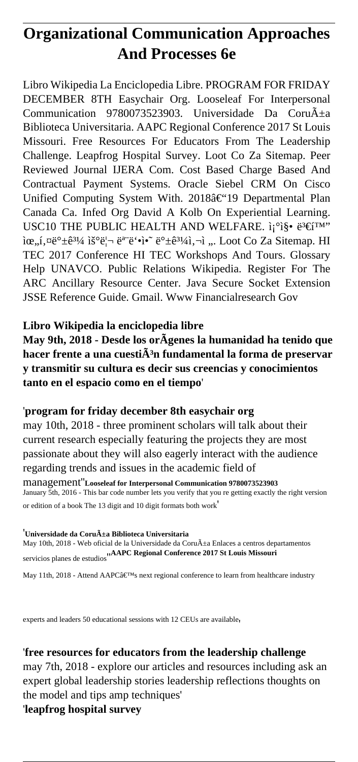# **Organizational Communication Approaches And Processes 6e**

Libro Wikipedia La Enciclopedia Libre. PROGRAM FOR FRIDAY DECEMBER 8TH Easychair Org. Looseleaf For Interpersonal Communication 9780073523903. Universidade Da Coru $\tilde{A}$ ±a Biblioteca Universitaria. AAPC Regional Conference 2017 St Louis Missouri. Free Resources For Educators From The Leadership Challenge. Leapfrog Hospital Survey. Loot Co Za Sitemap. Peer Reviewed Journal IJERA Com. Cost Based Charge Based And Contractual Payment Systems. Oracle Siebel CRM On Cisco Unified Computing System With. 2018–19 Departmental Plan Canada Ca. Infed Org David A Kolb On Experiential Learning. USC10 THE PUBLIC HEALTH AND WELFARE.  $i_1^{\circ}$ i§.  $e^{3} \in \mathfrak{f}^{TM}$  $\alpha_{n,i}$ , $\alpha_{\mathcal{C}} \neq \hat{e}^{3i/4}$  is  $\ddot{e}$ ;  $\ddot{e}$   $\ddot{e}$   $\ddot{e}$   $\ddot{e}$   $\ddot{e}$   $\ddot{e}$   $\ddot{e}$   $\ddot{e}$   $\ddot{e}$   $\ddot{e}$   $\ddot{e}$   $\ddot{e}$   $\ddot{e}$   $\ddot{e}$   $\ddot{e}$   $\ddot{e}$   $\ddot{e}$   $\ddot{e}$   $\ddot{e}$   $\$ TEC 2017 Conference HI TEC Workshops And Tours. Glossary Help UNAVCO. Public Relations Wikipedia. Register For The ARC Ancillary Resource Center. Java Secure Socket Extension JSSE Reference Guide. Gmail. Www Financialresearch Gov

# **Libro Wikipedia la enciclopedia libre**

**May 9th, 2018 - Desde los orÃgenes la humanidad ha tenido que hacer frente a una cuesti** $\tilde{A}$ **<sup>3</sup>n fundamental la forma de preservar y transmitir su cultura es decir sus creencias y conocimientos tanto en el espacio como en el tiempo**'

### '**program for friday december 8th easychair org**

may 10th, 2018 - three prominent scholars will talk about their current research especially featuring the projects they are most passionate about they will also eagerly interact with the audience regarding trends and issues in the academic field of

management''**Looseleaf for Interpersonal Communication 9780073523903** January 5th, 2016 - This bar code number lets you verify that you re getting exactly the right version or edition of a book The 13 digit and 10 digit formats both work'

#### <sup>'</sup>Universidade da Coruña Biblioteca Universitaria

May 10th, 2018 - Web oficial de la Universidade da Coru $\tilde{A}$ ±a Enlaces a centros departamentos servicios planes de estudios''**AAPC Regional Conference 2017 St Louis Missouri**

May 11th, 2018 - Attend AAPC $\hat{\mathbf{a}} \in \mathbb{N}$ s next regional conference to learn from healthcare industry

experts and leaders 50 educational sessions with 12 CEUs are available'

### '**free resources for educators from the leadership challenge**

may 7th, 2018 - explore our articles and resources including ask an expert global leadership stories leadership reflections thoughts on the model and tips amp techniques'

'**leapfrog hospital survey**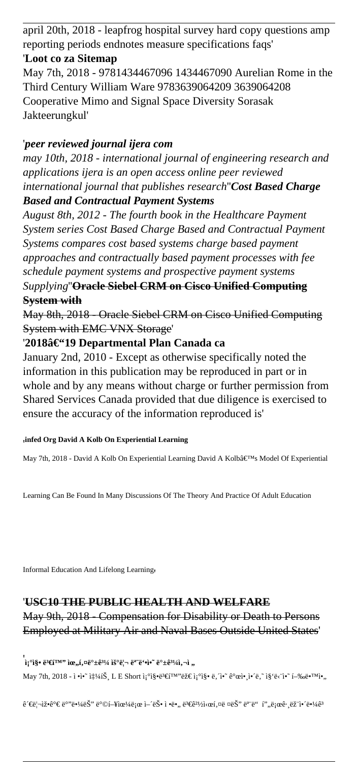april 20th, 2018 - leapfrog hospital survey hard copy questions amp reporting periods endnotes measure specifications faqs'

# '**Loot co za Sitemap**

May 7th, 2018 - 9781434467096 1434467090 Aurelian Rome in the Third Century William Ware 9783639064209 3639064208 Cooperative Mimo and Signal Space Diversity Sorasak Jakteerungkul'

# '*peer reviewed journal ijera com*

*may 10th, 2018 - international journal of engineering research and applications ijera is an open access online peer reviewed international journal that publishes research*''*Cost Based Charge Based and Contractual Payment Systems*

*August 8th, 2012 - The fourth book in the Healthcare Payment System series Cost Based Charge Based and Contractual Payment Systems compares cost based systems charge based payment approaches and contractually based payment processes with fee schedule payment systems and prospective payment systems*

# *Supplying*''**Oracle Siebel CRM on Cisco Unified Computing System with**

May 8th, 2018 - Oracle Siebel CRM on Cisco Unified Computing System with EMC VNX Storage'

# '2018â€"19 Departmental Plan Canada ca

January 2nd, 2010 - Except as otherwise specifically noted the information in this publication may be reproduced in part or in whole and by any means without charge or further permission from Shared Services Canada provided that due diligence is exercised to ensure the accuracy of the information reproduced is'

### '**infed Org David A Kolb On Experiential Learning**

May 7th, 2018 - David A Kolb On Experiential Learning David A Kolb's Model Of Experiential

Learning Can Be Found In Many Discussions Of The Theory And Practice Of Adult Education

Informal Education And Lifelong Learning'

# '**USC10 THE PUBLIC HEALTH AND WELFARE** May 9th, 2018 - Compensation for Disability or Death to Persons Employed at Military Air and Naval Bases Outside United States'

### '<br>`i¡°ì§• ë<sup>3</sup>€í™'' ìœ,,í,¤ë°±ê<sup>31</sup>⁄4 우리 ë<sup>a</sup>"ë'•ì•~ ë°±ê<sup>31</sup>⁄iì,¬ì ,, May 7th, 2018 - ì •ì•~ ì $\sharp$ 14iŠ, L E Short ì¡°ì§•ë $\sharp$ €i™'란 ì¡°ì§• ë, î•~ 개앸ì•´ë,~ ì§'ë<`ì•~ í-‰ë•™ì•,

 $\hat{e}^{\prime}\in\hat{e}^{\prime}\in\hat{e}^{\circ}$ ë $\cdot\hat{e}^{\prime}$ ë $\hat{e}^{\prime}$ i  $\hat{e}^{\circ}\odot\hat{e}^{\prime}$ i û j $\hat{e}^{\prime}$ ie, ë $\hat{e}^{\prime}$ ì، ë $\hat{e}^{\prime}$ i/a $\hat{e}^{\prime}$ i/a $\hat{e}^{\prime}$ i/a $\hat{e}^{\prime}$ i/e $\hat{e}^{\prime}$ i/a $\hat{e}^{\prime}$ i/a $\hat{e}^{\prime}$ i/a $\hat{e}$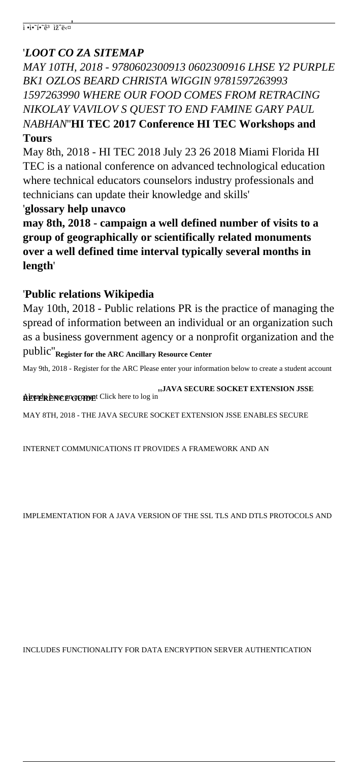# '*LOOT CO ZA SITEMAP*

*MAY 10TH, 2018 - 9780602300913 0602300916 LHSE Y2 PURPLE BK1 OZLOS BEARD CHRISTA WIGGIN 9781597263993 1597263990 WHERE OUR FOOD COMES FROM RETRACING NIKOLAY VAVILOV S QUEST TO END FAMINE GARY PAUL NABHAN*''**HI TEC 2017 Conference HI TEC Workshops and Tours**

May 8th, 2018 - HI TEC 2018 July 23 26 2018 Miami Florida HI TEC is a national conference on advanced technological education where technical educators counselors industry professionals and technicians can update their knowledge and skills'

'**glossary help unavco**

**may 8th, 2018 - campaign a well defined number of visits to a group of geographically or scientifically related monuments over a well defined time interval typically several months in length**'

# '**Public relations Wikipedia**

May 10th, 2018 - Public relations PR is the practice of managing the spread of information between an individual or an organization such as a business government agency or a nonprofit organization and the

public''**Register for the ARC Ancillary Resource Center**

May 9th, 2018 - Register for the ARC Please enter your information below to create a student account

**REFERENCE GUIDE REFERENCE GUIDE REFERENCE GUIDE**<br>**REFERENCE GUIDE** 

MAY 8TH, 2018 - THE JAVA SECURE SOCKET EXTENSION JSSE ENABLES SECURE

INTERNET COMMUNICATIONS IT PROVIDES A FRAMEWORK AND AN

IMPLEMENTATION FOR A JAVA VERSION OF THE SSL TLS AND DTLS PROTOCOLS AND

INCLUDES FUNCTIONALITY FOR DATA ENCRYPTION SERVER AUTHENTICATION